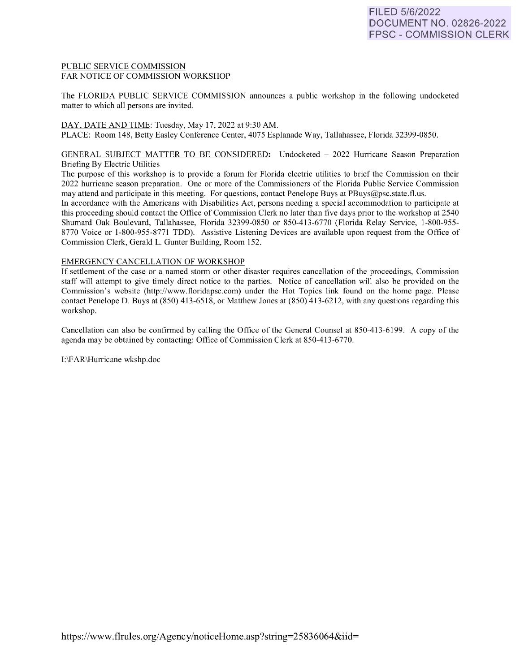## PUBLIC SERVICE COMMISSION FAR NOTICE OF COMMISSION WORKSHOP

The FLORIDA PUBLIC SERVICE COMMISSION announces a public workshop in the following undocketed matter to which all persons are invited.

DAY, DATE AND TIME: Tuesday, May 17, 2022 at 9:30 AM. PLACE: Room 148, Betty Easley Conference Center, 4075 Esplanade Way, Tallahassee, Florida 32399-0850.

## GENERAL SUBJECT MATTER TO BE CONSIDERED: Undocketed - 2022 Hurricane Season Preparation Briefing By Electric Utilities

The purpose of this workshop is to provide a forum for Florida electric utilities to brief the Commission on their 2022 hurricane season preparation. One or more of the Commissioners of the Florida Public Service Commission may attend and participate in this meeting. For questions, contact Penelope Buys at PBuys@psc.state.fl.us.

In accordance with the Americans with Disabilities Act, persons needing a special accommodation to participate at this proceeding should contact the Office of Commission Clerk no later than five days prior to the workshop at 2540 Shumard Oak Boulevard, Tallahassee, Florida 32399-0850 or 850-413-6770 (Florida Relay Service, 1-800-955-8770 Voice or 1-800-955-8771 TDD). Assistive Listening Devices are available upon request from the Office of Commission Clerk, Gerald L. Gunter Building, Room 152.

# EMERGENCY CANCELLATION OF WORKSHOP

If settlement of the case or a named storm or other disaster requires cancellation of the proceedings, Commission staff will attempt to give timely direct notice to the parties. Notice of cancellation will also be provided on the Commission's website (http://www.floridapsc.com) under the Hot Topics link found on the home page. Please contact Penelope D. Buys at  $(850)$  413-6518, or Matthew Jones at  $(850)$  413-6212, with any questions regarding this workshop.

Cancellation can also be confirmed by calling the Office of the General Counsel at 850-413-6199. A copy of the agenda may be obtained by contacting: Office of Commission Clerk at 850-413-6770.

1:\F AR\Hurricane wkshp.doc